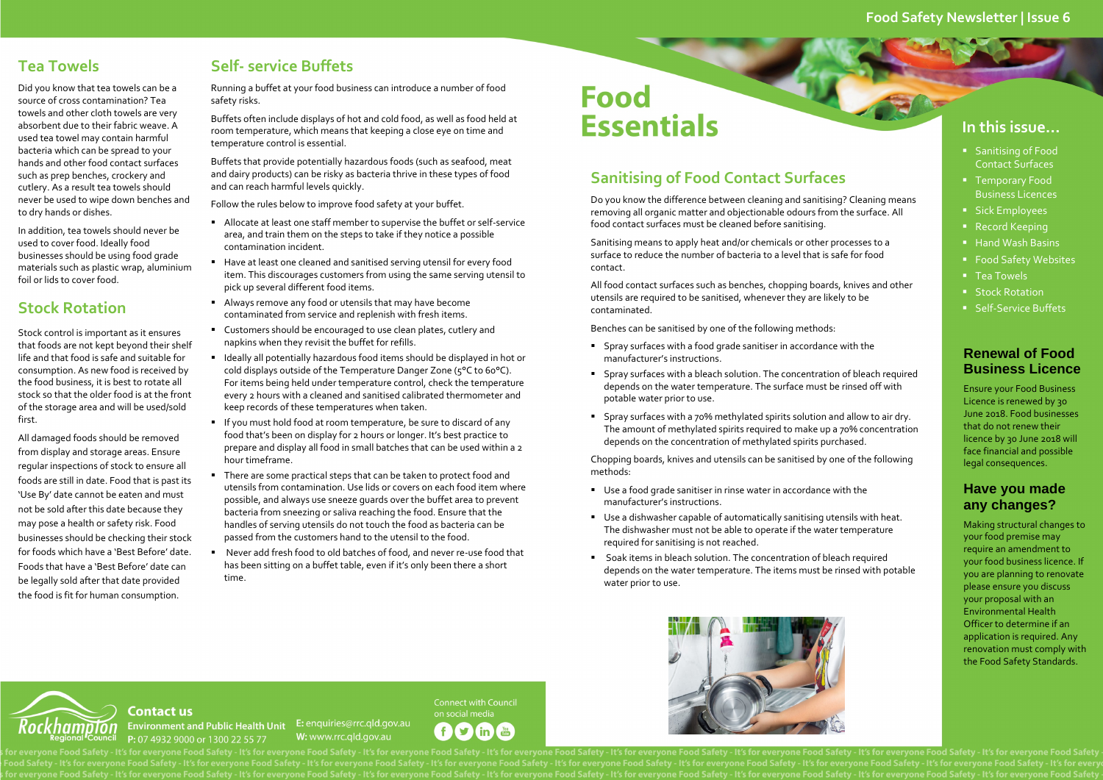### **Food Safety Newsletter | Issue 6**

#### **In this issue…**

- **Sanitising of Food** Contact Surfaces
- **Temporary Food** Business Licences
- Sick Employees
- Record Keeping
- Hand Wash Basins
- Food Safety Websites
- Tea Towels
- **Stock Rotation**
- Self-Service Buffets

### **Renewal of Food Business Licence**

Ensure your Food Business Licence is renewed by 30 June 2018. Food businesses that do not renew their licence by 30 June 2018 will face financial and possible legal consequences.

#### **Have you made any changes?**

Making structural changes to your food premise may require an amendment to your food business licence. If you are planning to renovate please ensure you discuss your proposal with an Environmental Health Officer to determine if an application is required. Any renovation must comply with the Food Safety Standards.

# **Sanitising of Food Contact Surfaces**

Do you know the difference between cleaning and sanitising? Cleaning means removing all organic matter and objectionable odours from the surface. All food contact surfaces must be cleaned before sanitising.

Sanitising means to apply heat and/or chemicals or other processes to <sup>a</sup> surface to reduce the number of bacteria to <sup>a</sup> level that is safe for food contact.

All food contact surfaces such as benches, chopping boards, knives and other utensils are required to be sanitised, whenever they are likely to be contaminated.

Benches can be sanitised by one of the following methods:

- Spray surfaces with <sup>a</sup> food grade sanitiser in accordance with the manufacturer's instructions.
- Spray surfaces with <sup>a</sup> bleach solution. The concentration of bleach required depends on the water temperature. The surface must be rinsed off with potable water prior to use.
- Spray surfaces with <sup>a</sup> 70% methylated spirits solution and allow to air dry. The amount of methylated spirits required to make up <sup>a</sup> 70% concentration depends on the concentration of methylated spirits purchased.

Chopping boards, knives and utensils can be sanitised by one of the following methods:

- Use <sup>a</sup> food grade sanitiser in rinse water in accordance with the manufacturer's instructions.
- Use <sup>a</sup> dishwasher capable of automatically sanitising utensils with heat. The dishwasher must not be able to operate if the water temperature required for sanitising is not reached.
- Soak items in bleach solution. The concentration of bleach required depends on the water temperature. The items must be rinsed with potable water prior to use.





#### **Contact us** Environment and Public Health Unit E: enquiries@rrc.qld.gov.au P: 07 4932 9000 or 1300 22 55 77

п

W: www.rrc.ald.gov.au



eryone Food Safety - It's for everyone Food Safety - It's for everyone Food Safety - It's for everyone Food Safety - It's for everyone Food Safety - It's for everyone Food Safety - It's for everyone Food Safety - It's for

# **Tea Towels**

Did you know that tea towels can be <sup>a</sup> source of cross contamination? Tea towels and other cloth towels are very absorbent due to their fabric weave. A used tea towel may contain harmful bacteria which can be spread to your hands and other food contact surfaces such as prep benches, crockery and cutlery. As <sup>a</sup> result tea towels should never be used to wipe down benches and to dry hands or dishes.

In addition, tea towels should never be used to cover food. Ideally food businesses should be using food grade materials such as plastic wrap, aluminium foil or lids to cover food.

## **Stock Rotation**

Stock control is important as it ensures that foods are not kept beyond their shelf life and that food is safe and suitable for consumption. As new food is received by the food business, it is best to rotate all stock so that the older food is at the front of the storage area and will be used/sold first.

All damaged foods should be removed from display and storage areas. Ensure regular inspections of stock to ensure all foods are still in date. Food that is pas<sup>t</sup> its 'Use By' date cannot be eaten and must not be sold after this date because they may pose <sup>a</sup> health or safety risk. Food businesses should be checking their stock for foods which have <sup>a</sup> 'Best Before' date. Foods that have <sup>a</sup> 'Best Before' date canbe legally sold after that date provided the food is fit for human consumption.

# **Self‐ service Buffets**

Running <sup>a</sup> buffet at your food business can introduce <sup>a</sup> number of food safety risks.

Buffets often include displays of hot and cold food, as well as food held at room temperature, which means that keeping <sup>a</sup> close eye on time and temperature control is essential.

Buffets that provide potentially hazardous foods (such as seafood, meat and dairy products) can be risky as bacteria thrive in these types of food and can reach harmful levels quickly.

Follow the rules below to improve food safety at your buffet.

- Allocate at least one staff member to supervise the buffet or self‐service area, and train them on the steps to take if they notice <sup>a</sup> possible contamination incident.
- Have at least one cleaned and sanitised serving utensil for every food item. This discourages customers from using the same serving utensil to pick up several different food items.
- Always remove any food or utensils that may have become contaminated from service and replenish with fresh items.
- Customers should be encouraged to use clean plates, cutlery and napkins when they revisit the buffet for refills.
- $\quad \blacksquare \,$  Ideally all potentially hazardous food items should be displayed in hot or cold displays outside of the Temperature Danger Zone (5°C to 60°C). For items being held under temperature control, check the temperature every <sup>2</sup> hours with <sup>a</sup> cleaned and sanitised calibrated thermometer and keep records of these temperatures when taken.
- $\quad \blacksquare$  If you must hold food at room temperature, be sure to discard of any food that's been on display for <sup>2</sup> hours or longer. It's best practice to prepare and display all food in small batches that can be used within <sup>a</sup> <sup>2</sup> hour timeframe.
- There are some practical steps that can be taken to protect food and utensils from contamination. Use lids or covers on each food item where possible, and always use sneeze guards over the buffet area to preven<sup>t</sup> bacteria from sneezing or saliva reaching the food. Ensure that the handles of serving utensils do not touch the food as bacteria can be passed from the customers hand to the utensil to the food.
- Never add fresh food to old batches of food, and never re-use food that has been sitting on <sup>a</sup> buffet table, even if it's only been there <sup>a</sup> short time.

# **Food Essentials**